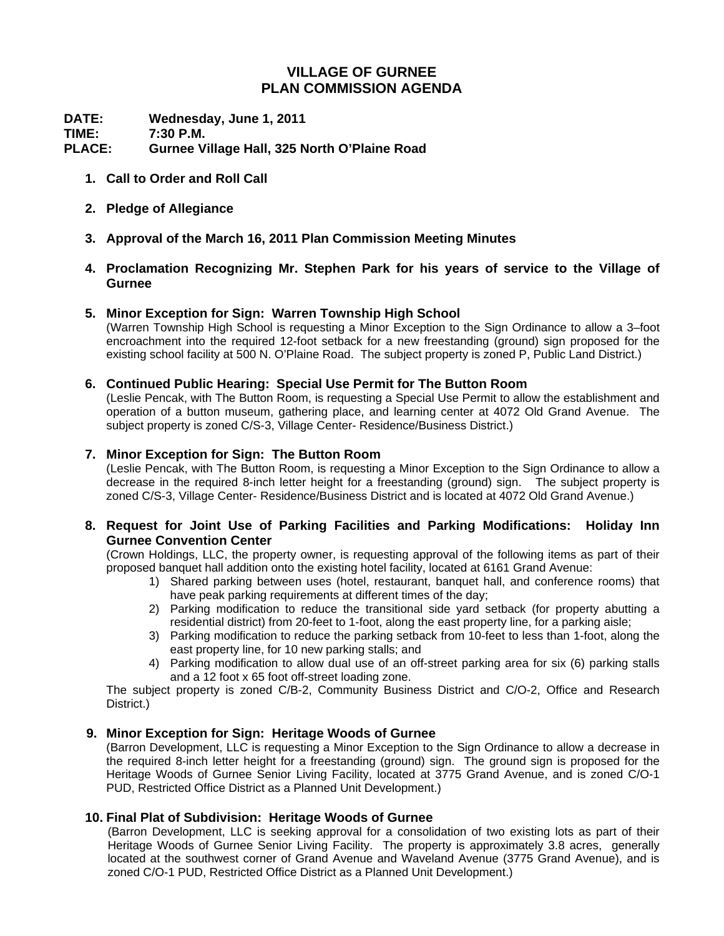# **VILLAGE OF GURNEE PLAN COMMISSION AGENDA**

**DATE: Wednesday, June 1, 2011 TIME: 7:30 P.M. PLACE: Gurnee Village Hall, 325 North O'Plaine Road** 

- **1. Call to Order and Roll Call**
- **2. Pledge of Allegiance**
- **3. Approval of the March 16, 2011 Plan Commission Meeting Minutes**
- **4. Proclamation Recognizing Mr. Stephen Park for his years of service to the Village of Gurnee**

## **5. Minor Exception for Sign: Warren Township High School**

(Warren Township High School is requesting a Minor Exception to the Sign Ordinance to allow a 3–foot encroachment into the required 12-foot setback for a new freestanding (ground) sign proposed for the existing school facility at 500 N. O'Plaine Road. The subject property is zoned P, Public Land District.)

## **6. Continued Public Hearing: Special Use Permit for The Button Room**

(Leslie Pencak, with The Button Room, is requesting a Special Use Permit to allow the establishment and operation of a button museum, gathering place, and learning center at 4072 Old Grand Avenue. The subject property is zoned C/S-3, Village Center- Residence/Business District.)

#### **7. Minor Exception for Sign: The Button Room**

(Leslie Pencak, with The Button Room, is requesting a Minor Exception to the Sign Ordinance to allow a decrease in the required 8-inch letter height for a freestanding (ground) sign. The subject property is zoned C/S-3, Village Center- Residence/Business District and is located at 4072 Old Grand Avenue.)

#### **8. Request for Joint Use of Parking Facilities and Parking Modifications: Holiday Inn Gurnee Convention Center**

(Crown Holdings, LLC, the property owner, is requesting approval of the following items as part of their proposed banquet hall addition onto the existing hotel facility, located at 6161 Grand Avenue:

- 1) Shared parking between uses (hotel, restaurant, banquet hall, and conference rooms) that have peak parking requirements at different times of the day;
- 2) Parking modification to reduce the transitional side yard setback (for property abutting a residential district) from 20-feet to 1-foot, along the east property line, for a parking aisle;
- 3) Parking modification to reduce the parking setback from 10-feet to less than 1-foot, along the east property line, for 10 new parking stalls; and
- 4) Parking modification to allow dual use of an off-street parking area for six (6) parking stalls and a 12 foot x 65 foot off-street loading zone.

The subject property is zoned C/B-2, Community Business District and C/O-2, Office and Research District.)

## **9. Minor Exception for Sign: Heritage Woods of Gurnee**

(Barron Development, LLC is requesting a Minor Exception to the Sign Ordinance to allow a decrease in the required 8-inch letter height for a freestanding (ground) sign. The ground sign is proposed for the Heritage Woods of Gurnee Senior Living Facility, located at 3775 Grand Avenue, and is zoned C/O-1 PUD, Restricted Office District as a Planned Unit Development.)

## **10. Final Plat of Subdivision: Heritage Woods of Gurnee**

(Barron Development, LLC is seeking approval for a consolidation of two existing lots as part of their Heritage Woods of Gurnee Senior Living Facility. The property is approximately 3.8 acres, generally located at the southwest corner of Grand Avenue and Waveland Avenue (3775 Grand Avenue), and is zoned C/O-1 PUD, Restricted Office District as a Planned Unit Development.)